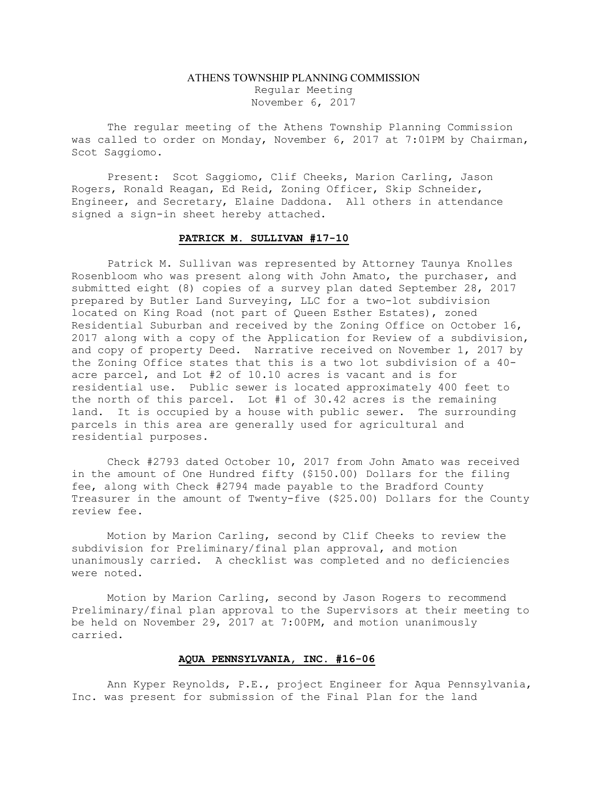## ATHENS TOWNSHIP PLANNING COMMISSION Regular Meeting November 6, 2017

The regular meeting of the Athens Township Planning Commission was called to order on Monday, November 6, 2017 at 7:01PM by Chairman, Scot Saggiomo.

Present: Scot Saggiomo, Clif Cheeks, Marion Carling, Jason Rogers, Ronald Reagan, Ed Reid, Zoning Officer, Skip Schneider, Engineer, and Secretary, Elaine Daddona. All others in attendance signed a sign-in sheet hereby attached.

## PATRICK M. SULLIVAN #17-10

Patrick M. Sullivan was represented by Attorney Taunya Knolles Rosenbloom who was present along with John Amato, the purchaser, and submitted eight (8) copies of a survey plan dated September 28, 2017 prepared by Butler Land Surveying, LLC for a two-lot subdivision located on King Road (not part of Queen Esther Estates), zoned Residential Suburban and received by the Zoning Office on October 16, 2017 along with a copy of the Application for Review of a subdivision, and copy of property Deed. Narrative received on November 1, 2017 by the Zoning Office states that this is a two lot subdivision of a 40 acre parcel, and Lot #2 of 10.10 acres is vacant and is for residential use. Public sewer is located approximately 400 feet to the north of this parcel. Lot #1 of 30.42 acres is the remaining land. It is occupied by a house with public sewer. The surrounding parcels in this area are generally used for agricultural and residential purposes.

 Check #2793 dated October 10, 2017 from John Amato was received in the amount of One Hundred fifty (\$150.00) Dollars for the filing fee, along with Check #2794 made payable to the Bradford County Treasurer in the amount of Twenty-five (\$25.00) Dollars for the County review fee.

 Motion by Marion Carling, second by Clif Cheeks to review the subdivision for Preliminary/final plan approval, and motion unanimously carried. A checklist was completed and no deficiencies were noted.

Motion by Marion Carling, second by Jason Rogers to recommend Preliminary/final plan approval to the Supervisors at their meeting to be held on November 29, 2017 at 7:00PM, and motion unanimously carried.

## AQUA PENNSYLVANIA, INC. #16-06

Ann Kyper Reynolds, P.E., project Engineer for Aqua Pennsylvania, Inc. was present for submission of the Final Plan for the land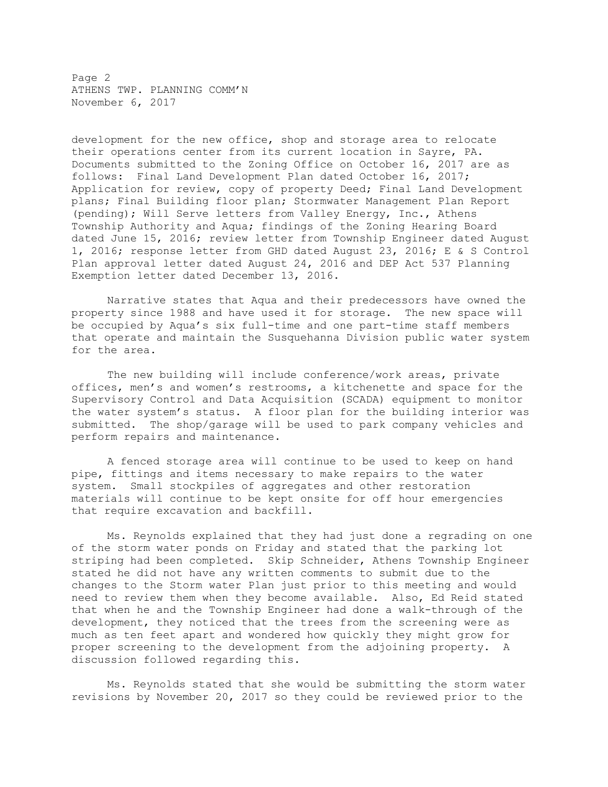Page 2 ATHENS TWP. PLANNING COMM'N November 6, 2017

development for the new office, shop and storage area to relocate their operations center from its current location in Sayre, PA. Documents submitted to the Zoning Office on October 16, 2017 are as follows: Final Land Development Plan dated October 16, 2017; Application for review, copy of property Deed; Final Land Development plans; Final Building floor plan; Stormwater Management Plan Report (pending); Will Serve letters from Valley Energy, Inc., Athens Township Authority and Aqua; findings of the Zoning Hearing Board dated June 15, 2016; review letter from Township Engineer dated August 1, 2016; response letter from GHD dated August 23, 2016; E & S Control Plan approval letter dated August 24, 2016 and DEP Act 537 Planning Exemption letter dated December 13, 2016.

Narrative states that Aqua and their predecessors have owned the property since 1988 and have used it for storage. The new space will be occupied by Aqua's six full-time and one part-time staff members that operate and maintain the Susquehanna Division public water system for the area.

The new building will include conference/work areas, private offices, men's and women's restrooms, a kitchenette and space for the Supervisory Control and Data Acquisition (SCADA) equipment to monitor the water system's status. A floor plan for the building interior was submitted. The shop/garage will be used to park company vehicles and perform repairs and maintenance.

A fenced storage area will continue to be used to keep on hand pipe, fittings and items necessary to make repairs to the water system. Small stockpiles of aggregates and other restoration materials will continue to be kept onsite for off hour emergencies that require excavation and backfill.

Ms. Reynolds explained that they had just done a regrading on one of the storm water ponds on Friday and stated that the parking lot striping had been completed. Skip Schneider, Athens Township Engineer stated he did not have any written comments to submit due to the changes to the Storm water Plan just prior to this meeting and would need to review them when they become available. Also, Ed Reid stated that when he and the Township Engineer had done a walk-through of the development, they noticed that the trees from the screening were as much as ten feet apart and wondered how quickly they might grow for proper screening to the development from the adjoining property. A discussion followed regarding this.

Ms. Reynolds stated that she would be submitting the storm water revisions by November 20, 2017 so they could be reviewed prior to the